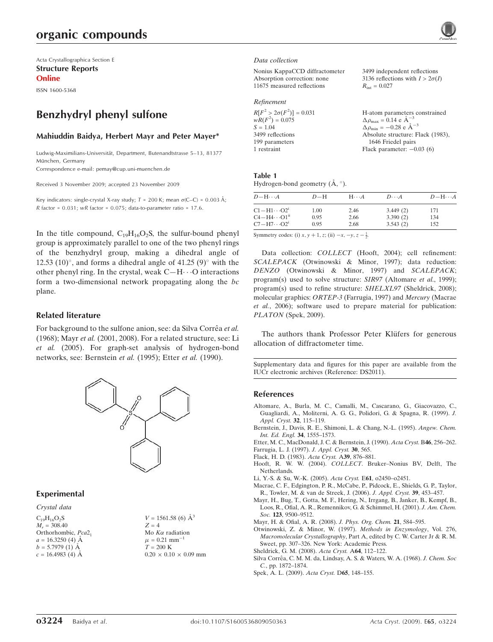# organic compounds

Acta Crystallographica Section E Structure Reports Online

ISSN 1600-5368

# Benzhydryl phenyl sulfone

#### Mahiuddin Baidya, Herbert Mayr and Peter Mayer\*

Ludwig-Maximilians-Universität, Department, Butenandtstrasse 5-13, 81377 München, Germany Correspondence e-mail: pemay@cup.uni-muenchen.de

Received 3 November 2009; accepted 23 November 2009

Key indicators: single-crystal X-ray study;  $T$  = 200 K; mean  $\sigma$ (C–C) = 0.003 Å; R factor =  $0.031$ ; wR factor =  $0.075$ ; data-to-parameter ratio = 17.6.

In the title compound,  $C_{19}H_{16}O_2S$ , the sulfur-bound phenyl group is approximately parallel to one of the two phenyl rings of the benzhydryl group, making a dihedral angle of 12.53  $(10)^\circ$ , and forms a dihedral angle of 41.25  $(9)^\circ$  with the other phenyl ring. In the crystal, weak  $C-H \cdots O$  interactions form a two-dimensional network propagating along the bc plane.

#### Related literature

For background to the sulfone anion, see: da Silva Corrêa et al. (1968); Mayr et al. (2001, 2008). For a related structure, see: Li et al. (2005). For graph-set analysis of hydrogen-bond networks, see: Bernstein et al. (1995); Etter et al. (1990).



### Experimental

Crystal data  $C_{19}H_{16}O_2S$  $M_r = 308.40$ Orthorhombic, Pca2<sub>1</sub>  $a = 16.3250$  (4)  $\AA$  $b = 5.7979(1)$  Å  $c = 16.4983(4)$  Å

| $V = 1561.58$ (6) $\AA^3$         |
|-----------------------------------|
| $Z = 4$                           |
| Mo $K\alpha$ radiation            |
| $\mu = 0.21$ mm <sup>-1</sup>     |
| $T = 200 \text{ K}$               |
| $0.20 \times 0.10 \times 0.09$ mm |

#### Data collection

| Nonius KappaCCD diffractometer | 3499 independent reflections           |
|--------------------------------|----------------------------------------|
| Absorption correction: none    | 3136 reflections with $I > 2\sigma(I)$ |
| 11675 measured reflections     | $R_{\rm int} = 0.027$                  |
| Refinement                     |                                        |

| H-atom parameters constrained<br>$\Delta \rho_{\text{max}} = 0.14 \text{ e A}^{-3}$ |
|-------------------------------------------------------------------------------------|
| $\Delta \rho_{\text{min}} = -0.28$ e $\rm{\AA}^{-3}$                                |
| Absolute structure: Flack (1983),                                                   |
| 1646 Friedel pairs                                                                  |
| Flack parameter: $-0.03$ (6)                                                        |
|                                                                                     |

#### Table 1

Hydrogen-bond geometry  $(\AA, \degree)$ .

| $D - H \cdots A$                  | $D-H$ | $H\cdots A$ | $D\cdots A$ | $D$ -H $\cdots$ A |
|-----------------------------------|-------|-------------|-------------|-------------------|
| $C1 - H1 \cdots O2^1$             | 1.00  | 2.46        | 3.449(2)    | 171               |
| $C4 - H4 \cdots O1$ <sup>ii</sup> | 0.95  | 2.66        | 3.390(2)    | 134               |
| $C7 - H7 \cdots O2^i$             | 0.95  | 2.68        | 3.543(2)    | 152               |

Symmetry codes: (i)  $x, y + 1, z$ ; (ii)  $-x, -y, z - \frac{1}{2}$ .

Data collection: COLLECT (Hooft, 2004); cell refinement: SCALEPACK (Otwinowski & Minor, 1997); data reduction: DENZO (Otwinowski & Minor, 1997) and SCALEPACK; program(s) used to solve structure: SIR97 (Altomare et al., 1999); program(s) used to refine structure: SHELXL97 (Sheldrick, 2008); molecular graphics: ORTEP-3 (Farrugia, 1997) and Mercury (Macrae et al., 2006); software used to prepare material for publication: PLATON (Spek, 2009).

The authors thank Professor Peter Klüfers for generous allocation of diffractometer time.

Supplementary data and figures for this paper are available from the IUCr electronic archives (Reference: DS2011).

#### References

- Altomare, A., Burla, M. C., Camalli, M., Cascarano, G., Giacovazzo, C., Guagliardi, A., Moliterni, A. G. G., Polidori, G. & Spagna, R. (1999). J. Appl. Cryst. 32, 115–119.
- Bernstein, J., Davis, R. E., Shimoni, L. & Chang, N.-L. (1995). Angew. Chem. Int. Ed. Engl. 34, 1555–1573.

Etter, M. C., MacDonald, J. C. & Bernstein, J. (1990). Acta Cryst. B46, 256–262. Farrugia, L. J. (1997). J. Appl. Cryst. 30, 565.

- Flack, H. D. (1983). Acta Cryst. A39, 876–881.
- Hooft, R. W. W. (2004). COLLECT. Bruker–Nonius BV, Delft, The Netherlands.
- Li, Y.-S. & Su, W.-K. (2005). Acta Cryst. E61, o2450–o2451.
- Macrae, C. F., Edgington, P. R., McCabe, P., Pidcock, E., Shields, G. P., Taylor, R., Towler, M. & van de Streek, J. (2006). J. Appl. Cryst. 39, 453–457.
- Mayr, H., Bug, T., Gotta, M. F., Hering, N., Irrgang, B., Janker, B., Kempf, B., Loos, R., Ofial, A. R., Remennikov, G. & Schimmel, H. (2001). J. Am. Chem.
- Soc. 123, 9500–9512.
- Mayr, H. & Ofial, A. R. (2008). J. Phys. Org. Chem. 21, 584–595.
- Otwinowski, Z. & Minor, W. (1997). Methods in Enzymology, Vol. 276, Macromolecular Crystallography, Part A, edited by C. W. Carter Jr & R. M. Sweet, pp. 307–326. New York: Academic Press.
- Sheldrick, G. M. (2008). Acta Cryst. A64, 112–122.
- Silva Corrêa, C. M. M. da, Lindsay, A. S. & Waters, W. A. (1968). J. Chem. Soc C., pp. 1872–1874.
- Spek, A. L. (2009). Acta Cryst. D65, 148–155.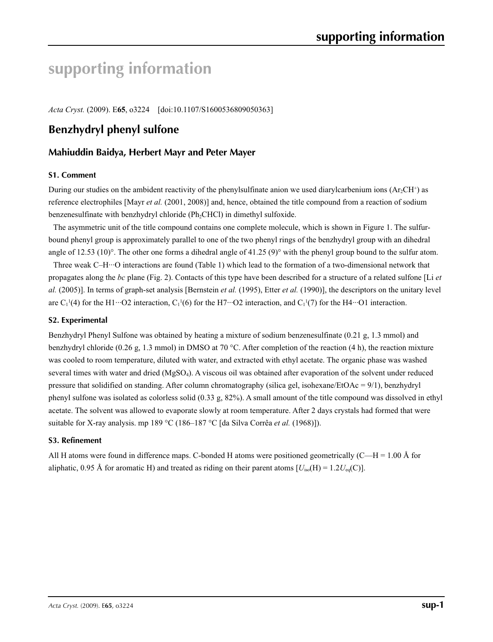# **supporting information**

*Acta Cryst.* (2009). E**65**, o3224 [doi:10.1107/S1600536809050363]

## **Benzhydryl phenyl sulfone**

## **Mahiuddin Baidya, Herbert Mayr and Peter Mayer**

#### **S1. Comment**

During our studies on the ambident reactivity of the phenylsulfinate anion we used diarylcarbenium ions  $(Ar_2CH^+)$  as reference electrophiles [Mayr *et al.* (2001, 2008)] and, hence, obtained the title compound from a reaction of sodium benzenesulfinate with benzhydryl chloride (Ph<sub>2</sub>CHCl) in dimethyl sulfoxide.

The asymmetric unit of the title compound contains one complete molecule, which is shown in Figure 1. The sulfurbound phenyl group is approximately parallel to one of the two phenyl rings of the benzhydryl group with an dihedral angle of 12.53 (10)°. The other one forms a dihedral angle of 41.25 (9)° with the phenyl group bound to the sulfur atom.

Three weak C–H···O interactions are found (Table 1) which lead to the formation of a two-dimensional network that propagates along the *bc* plane (Fig. 2). Contacts of this type have been described for a structure of a related sulfone [Li *et al.* (2005)]. In terms of graph-set analysis [Bernstein *et al.* (1995), Etter *et al.* (1990)], the descriptors on the unitary level are C<sub>1</sub><sup>1</sup>(4) for the H1…O2 interaction, C<sub>1</sub><sup>1</sup>(6) for the H7…O2 interaction, and C<sub>1</sub><sup>1</sup>(7) for the H4…O1 interaction.

#### **S2. Experimental**

Benzhydryl Phenyl Sulfone was obtained by heating a mixture of sodium benzenesulfinate (0.21 g, 1.3 mmol) and benzhydryl chloride (0.26 g, 1.3 mmol) in DMSO at 70 °C. After completion of the reaction (4 h), the reaction mixture was cooled to room temperature, diluted with water, and extracted with ethyl acetate. The organic phase was washed several times with water and dried (MgSO4). A viscous oil was obtained after evaporation of the solvent under reduced pressure that solidified on standing. After column chromatography (silica gel, isohexane/EtOAc = 9/1), benzhydryl phenyl sulfone was isolated as colorless solid (0.33 g, 82%). A small amount of the title compound was dissolved in ethyl acetate. The solvent was allowed to evaporate slowly at room temperature. After 2 days crystals had formed that were suitable for X-ray analysis. mp 189 °C (186–187 °C [da Silva Corrêa *et al.* (1968)]).

#### **S3. Refinement**

All H atoms were found in difference maps. C-bonded H atoms were positioned geometrically (C—H = 1.00 Å for aliphatic, 0.95 Å for aromatic H) and treated as riding on their parent atoms  $[U_{iso}(H) = 1.2U_{eq}(C)]$ .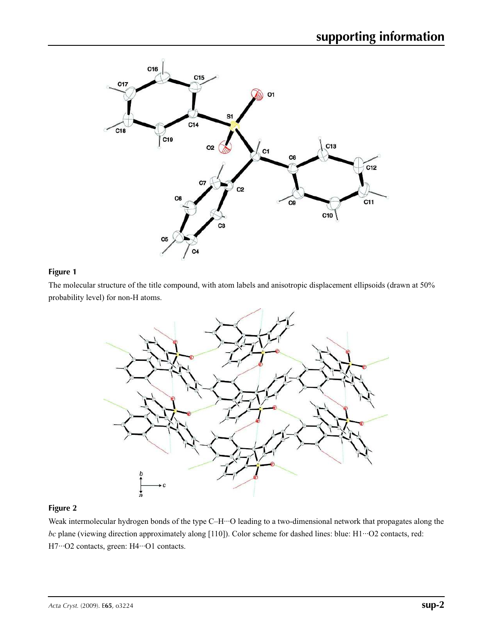

## **Figure 1**

The molecular structure of the title compound, with atom labels and anisotropic displacement ellipsoids (drawn at 50% probability level) for non-H atoms.



#### **Figure 2**

Weak intermolecular hydrogen bonds of the type C–H···O leading to a two-dimensional network that propagates along the *bc* plane (viewing direction approximately along [110]). Color scheme for dashed lines: blue: H1…O2 contacts, red: H7…O2 contacts, green: H4…O1 contacts.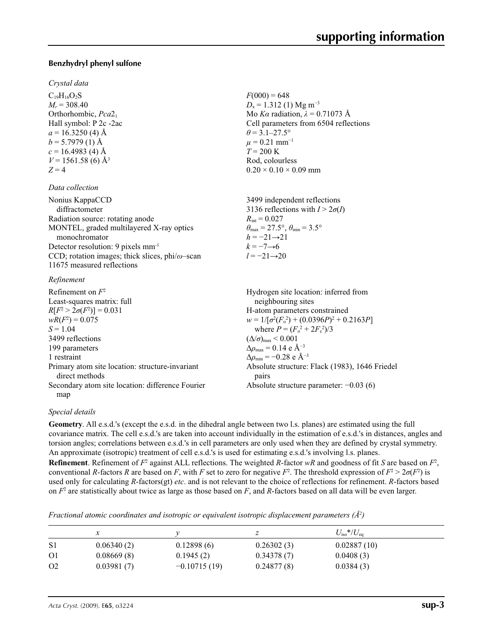#### **Benzhydryl phenyl sulfone**

#### *Crystal data*

 $C_{19}H_{16}O_2S$  $M_r = 308.40$ Orthorhombic, *Pca*2<sup>1</sup> Hall symbol: P 2c -2ac  $a = 16.3250$  (4) Å  $b = 5.7979(1)$  Å  $c = 16.4983(4)$  Å  $V = 1561.58$  (6) Å<sup>3</sup>  $Z = 4$ 

#### *Data collection*

| diffractometer<br>Radiation source: rotating anode     |
|--------------------------------------------------------|
|                                                        |
|                                                        |
| MONTEL, graded multilayered X-ray optics               |
| monochromator                                          |
| Detector resolution: 9 pixels mm <sup>-1</sup>         |
| CCD; rotation images; thick slices, $phi/\omega$ -scan |
| 11675 measured reflections                             |

#### *Refinement*

Refinement on *F* 2 Least-squares matrix: full  $R[F^2 > 2\sigma(F^2)] = 0.031$  $wR(F^2) = 0.075$  $S = 1.04$ 3499 reflections 199 parameters 1 restraint Primary atom site location: structure-invariant direct methods Secondary atom site location: difference Fourier map Hydrogen site location: inferred from neighbouring sites H-atom parameters constrained  $w = 1/[\sigma^2 (F_o^2) + (0.0396P)^2 + 0.2163P]$ where  $P = (F_o^2 + 2F_c^2)/3$  $(\Delta/\sigma)_{\text{max}}$  < 0.001  $\Delta\rho_{\text{max}} = 0.14$  e Å<sup>-3</sup>  $\Delta \rho_{\rm min} = -0.28 \text{ e } \text{\AA}^{-3}$ Absolute structure: Flack (1983), 1646 Friedel pairs Absolute structure parameter: −0.03 (6)

#### *Special details*

**Geometry**. All e.s.d.'s (except the e.s.d. in the dihedral angle between two l.s. planes) are estimated using the full covariance matrix. The cell e.s.d.'s are taken into account individually in the estimation of e.s.d.'s in distances, angles and torsion angles; correlations between e.s.d.'s in cell parameters are only used when they are defined by crystal symmetry. An approximate (isotropic) treatment of cell e.s.d.'s is used for estimating e.s.d.'s involving l.s. planes. **Refinement**. Refinement of  $F^2$  against ALL reflections. The weighted *R*-factor *wR* and goodness of fit *S* are based on  $F^2$ , conventional *R*-factors *R* are based on *F*, with *F* set to zero for negative *F*<sup>2</sup>. The threshold expression of  $F^2 > 2\sigma(F^2)$  is used only for calculating *R*-factors(gt) *etc*. and is not relevant to the choice of reflections for refinement. *R*-factors based on  $F<sup>2</sup>$  are statistically about twice as large as those based on  $F$ , and  $R$ -factors based on all data will be even larger.

*Fractional atomic coordinates and isotropic or equivalent isotropic displacement parameters (Å<sup>2</sup> )*

|                | л          |                |            | $U_{\rm iso}*/U_{\rm eq}$ |
|----------------|------------|----------------|------------|---------------------------|
| S1             | 0.06340(2) | 0.12898(6)     | 0.26302(3) | 0.02887(10)               |
| O <sub>1</sub> | 0.08669(8) | 0.1945(2)      | 0.34378(7) | 0.0408(3)                 |
| O <sub>2</sub> | 0.03981(7) | $-0.10715(19)$ | 0.24877(8) | 0.0384(3)                 |

 $F(000) = 648$  $D_x = 1.312$  (1) Mg m<sup>-3</sup> Mo *Kα* radiation, *λ* = 0.71073 Å Cell parameters from 6504 reflections  $\theta$  = 3.1–27.5°  $\mu$  = 0.21 mm<sup>-1</sup>  $T = 200 \text{ K}$ Rod, colourless  $0.20 \times 0.10 \times 0.09$  mm

3499 independent reflections 3136 reflections with  $I > 2\sigma(I)$  $R_{\text{int}} = 0.027$  $\theta_{\text{max}} = 27.5^{\circ}, \theta_{\text{min}} = 3.5^{\circ}$  $h = -21 \rightarrow 21$  $k = -7 \rightarrow 6$ *l* = −21→20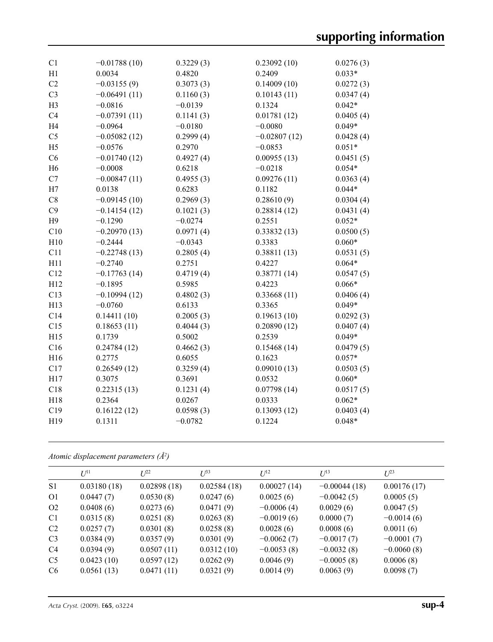| C1             | $-0.01788(10)$ | 0.3229(3) | 0.23092(10)    | 0.0276(3) |
|----------------|----------------|-----------|----------------|-----------|
| H1             | 0.0034         | 0.4820    | 0.2409         | $0.033*$  |
| C2             | $-0.03155(9)$  | 0.3073(3) | 0.14009(10)    | 0.0272(3) |
| C <sub>3</sub> | $-0.06491(11)$ | 0.1160(3) | 0.10143(11)    | 0.0347(4) |
| H <sub>3</sub> | $-0.0816$      | $-0.0139$ | 0.1324         | $0.042*$  |
| C4             | $-0.07391(11)$ | 0.1141(3) | 0.01781(12)    | 0.0405(4) |
| H <sub>4</sub> | $-0.0964$      | $-0.0180$ | $-0.0080$      | $0.049*$  |
| C <sub>5</sub> | $-0.05082(12)$ | 0.2999(4) | $-0.02807(12)$ | 0.0428(4) |
| H <sub>5</sub> | $-0.0576$      | 0.2970    | $-0.0853$      | $0.051*$  |
| C6             | $-0.01740(12)$ | 0.4927(4) | 0.00955(13)    | 0.0451(5) |
| H <sub>6</sub> | $-0.0008$      | 0.6218    | $-0.0218$      | $0.054*$  |
| C7             | $-0.00847(11)$ | 0.4955(3) | 0.09276(11)    | 0.0363(4) |
| H7             | 0.0138         | 0.6283    | 0.1182         | $0.044*$  |
| $\rm{C}8$      | $-0.09145(10)$ | 0.2969(3) | 0.28610(9)     | 0.0304(4) |
| C9             | $-0.14154(12)$ | 0.1021(3) | 0.28814(12)    | 0.0431(4) |
| H <sub>9</sub> | $-0.1290$      | $-0.0274$ | 0.2551         | $0.052*$  |
| C10            | $-0.20970(13)$ | 0.0971(4) | 0.33832(13)    | 0.0500(5) |
| H10            | $-0.2444$      | $-0.0343$ | 0.3383         | $0.060*$  |
| C11            | $-0.22748(13)$ | 0.2805(4) | 0.38811(13)    | 0.0531(5) |
| H11            | $-0.2740$      | 0.2751    | 0.4227         | $0.064*$  |
| C12            | $-0.17763(14)$ | 0.4719(4) | 0.38771(14)    | 0.0547(5) |
| H12            | $-0.1895$      | 0.5985    | 0.4223         | $0.066*$  |
| C13            | $-0.10994(12)$ | 0.4802(3) | 0.33668(11)    | 0.0406(4) |
| H13            | $-0.0760$      | 0.6133    | 0.3365         | $0.049*$  |
| C14            | 0.14411(10)    | 0.2005(3) | 0.19613(10)    | 0.0292(3) |
| C15            | 0.18653(11)    | 0.4044(3) | 0.20890(12)    | 0.0407(4) |
| H15            | 0.1739         | 0.5002    | 0.2539         | $0.049*$  |
| C16            | 0.24784(12)    | 0.4662(3) | 0.15468(14)    | 0.0479(5) |
| H16            | 0.2775         | 0.6055    | 0.1623         | $0.057*$  |
| C17            | 0.26549(12)    | 0.3259(4) | 0.09010(13)    | 0.0503(5) |
| H17            | 0.3075         | 0.3691    | 0.0532         | $0.060*$  |
| C18            | 0.22315(13)    | 0.1231(4) | 0.07798(14)    | 0.0517(5) |
| H18            | 0.2364         | 0.0267    | 0.0333         | $0.062*$  |
| C19            | 0.16122(12)    | 0.0598(3) | 0.13093(12)    | 0.0403(4) |
| H19            | 0.1311         | $-0.0782$ | 0.1224         | $0.048*$  |
|                |                |           |                |           |

*Atomic displacement parameters (Å<sup>2</sup> )*

|                | $U^{11}$    | $U^{22}$    | $U^{33}$    | $U^{12}$     | $U^{13}$       | $U^{23}$     |
|----------------|-------------|-------------|-------------|--------------|----------------|--------------|
| S <sub>1</sub> | 0.03180(18) | 0.02898(18) | 0.02584(18) | 0.00027(14)  | $-0.00044(18)$ | 0.00176(17)  |
| O <sub>1</sub> | 0.0447(7)   | 0.0530(8)   | 0.0247(6)   | 0.0025(6)    | $-0.0042(5)$   | 0.0005(5)    |
| O <sub>2</sub> | 0.0408(6)   | 0.0273(6)   | 0.0471(9)   | $-0.0006(4)$ | 0.0029(6)      | 0.0047(5)    |
| C <sub>1</sub> | 0.0315(8)   | 0.0251(8)   | 0.0263(8)   | $-0.0019(6)$ | 0.0000(7)      | $-0.0014(6)$ |
| C <sub>2</sub> | 0.0257(7)   | 0.0301(8)   | 0.0258(8)   | 0.0028(6)    | 0.0008(6)      | 0.0011(6)    |
| C <sub>3</sub> | 0.0384(9)   | 0.0357(9)   | 0.0301(9)   | $-0.0062(7)$ | $-0.0017(7)$   | $-0.0001(7)$ |
| C <sub>4</sub> | 0.0394(9)   | 0.0507(11)  | 0.0312(10)  | $-0.0053(8)$ | $-0.0032(8)$   | $-0.0060(8)$ |
| C <sub>5</sub> | 0.0423(10)  | 0.0597(12)  | 0.0262(9)   | 0.0046(9)    | $-0.0005(8)$   | 0.0006(8)    |
| C <sub>6</sub> | 0.0561(13)  | 0.0471(11)  | 0.0321(9)   | 0.0014(9)    | 0.0063(9)      | 0.0098(7)    |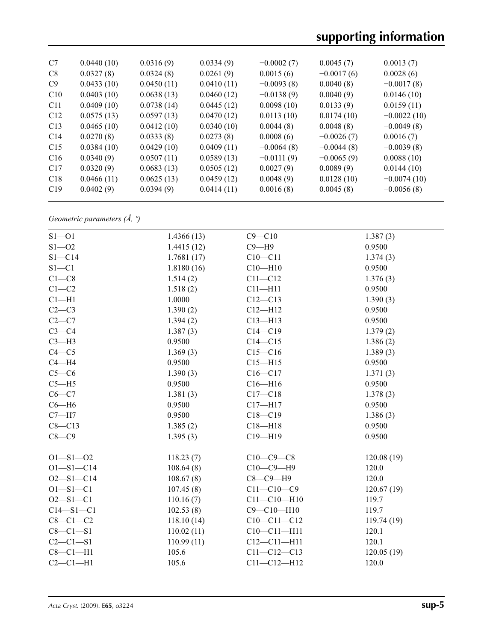| C7              | 0.0440(10) | 0.0316(9)  | 0.0334(9)  | $-0.0002(7)$ | 0.0045(7)    | 0.0013(7)     |
|-----------------|------------|------------|------------|--------------|--------------|---------------|
| C8              | 0.0327(8)  | 0.0324(8)  | 0.0261(9)  | 0.0015(6)    | $-0.0017(6)$ | 0.0028(6)     |
| C9              | 0.0433(10) | 0.0450(11) | 0.0410(11) | $-0.0093(8)$ | 0.0040(8)    | $-0.0017(8)$  |
| C10             | 0.0403(10) | 0.0638(13) | 0.0460(12) | $-0.0138(9)$ | 0.0040(9)    | 0.0146(10)    |
| C <sub>11</sub> | 0.0409(10) | 0.0738(14) | 0.0445(12) | 0.0098(10)   | 0.0133(9)    | 0.0159(11)    |
| C12             | 0.0575(13) | 0.0597(13) | 0.0470(12) | 0.0113(10)   | 0.0174(10)   | $-0.0022(10)$ |
| C13             | 0.0465(10) | 0.0412(10) | 0.0340(10) | 0.0044(8)    | 0.0048(8)    | $-0.0049(8)$  |
| C14             | 0.0270(8)  | 0.0333(8)  | 0.0273(8)  | 0.0008(6)    | $-0.0026(7)$ | 0.0016(7)     |
| C15             | 0.0384(10) | 0.0429(10) | 0.0409(11) | $-0.0064(8)$ | $-0.0044(8)$ | $-0.0039(8)$  |
| C16             | 0.0340(9)  | 0.0507(11) | 0.0589(13) | $-0.0111(9)$ | $-0.0065(9)$ | 0.0088(10)    |
| C17             | 0.0320(9)  | 0.0683(13) | 0.0505(12) | 0.0027(9)    | 0.0089(9)    | 0.0144(10)    |
| C18             | 0.0466(11) | 0.0625(13) | 0.0459(12) | 0.0048(9)    | 0.0128(10)   | $-0.0074(10)$ |
| C19             | 0.0402(9)  | 0.0394(9)  | 0.0414(11) | 0.0016(8)    | 0.0045(8)    | $-0.0056(8)$  |
|                 |            |            |            |              |              |               |

*Geometric parameters (Å, º)*

| $S1 - 01$       | 1.4366(13) | $C9 - C10$        | 1.387(3)    |
|-----------------|------------|-------------------|-------------|
| $S1 - 02$       | 1.4415(12) | $C9 - H9$         | 0.9500      |
| $S1 - C14$      | 1.7681(17) | $C10 - C11$       | 1.374(3)    |
| $S1 - C1$       | 1.8180(16) | $C10 - H10$       | 0.9500      |
| $C1 - C8$       | 1.514(2)   | $C11 - C12$       | 1.376(3)    |
| $C1 - C2$       | 1.518(2)   | $C11 - H11$       | 0.9500      |
| $Cl - H1$       | 1.0000     | $C12 - C13$       | 1.390(3)    |
| $C2-C3$         | 1.390(2)   | $C12 - H12$       | 0.9500      |
| $C2-C7$         | 1.394(2)   | $C13 - H13$       | 0.9500      |
| $C3-C4$         | 1.387(3)   | $C14 - C19$       | 1.379(2)    |
| $C3 - H3$       | 0.9500     | $C14 - C15$       | 1.386(2)    |
| $C4 - C5$       | 1.369(3)   | $C15 - C16$       | 1.389(3)    |
| $C4 - H4$       | 0.9500     | $C15 - H15$       | 0.9500      |
| $C5-C6$         | 1.390(3)   | $C16 - C17$       | 1.371(3)    |
| $C5 - H5$       | 0.9500     | $C16 - H16$       | 0.9500      |
| $C6-C7$         | 1.381(3)   | $C17 - C18$       | 1.378(3)    |
| $C6 - H6$       | 0.9500     | $C17 - H17$       | 0.9500      |
| $C7 - H7$       | 0.9500     | $C18 - C19$       | 1.386(3)    |
| $C8 - C13$      | 1.385(2)   | $C18 - H18$       | 0.9500      |
| $C8-C9$         | 1.395(3)   | $C19 - H19$       | 0.9500      |
| $O1 - S1 - O2$  | 118.23(7)  | $C10-C9-C8$       | 120.08(19)  |
| $O1 - S1 - C14$ | 108.64(8)  | $C10-C9-H9$       | 120.0       |
| $O2 - S1 - C14$ | 108.67(8)  | $C8-C9-H9$        | 120.0       |
| $O1 - S1 - C1$  | 107.45(8)  | $C11 - C10 - C9$  | 120.67(19)  |
| $O2 - S1 - C1$  | 110.16(7)  | $C11 - C10 - H10$ | 119.7       |
| $C14 - S1 - C1$ | 102.53(8)  | $C9 - C10 - H10$  | 119.7       |
| $C8-C1-C2$      | 118.10(14) | $C10-C11-C12$     | 119.74 (19) |
| $C8 - C1 - S1$  | 110.02(11) | $C10-C11-H11$     | 120.1       |
| $C2 - C1 - S1$  | 110.99(11) | $C12 - C11 - H11$ | 120.1       |
| $C8-C1-H1$      | 105.6      | $C11 - C12 - C13$ | 120.05(19)  |
| $C2-C1-H1$      | 105.6      | $C11 - C12 - H12$ | 120.0       |
|                 |            |                   |             |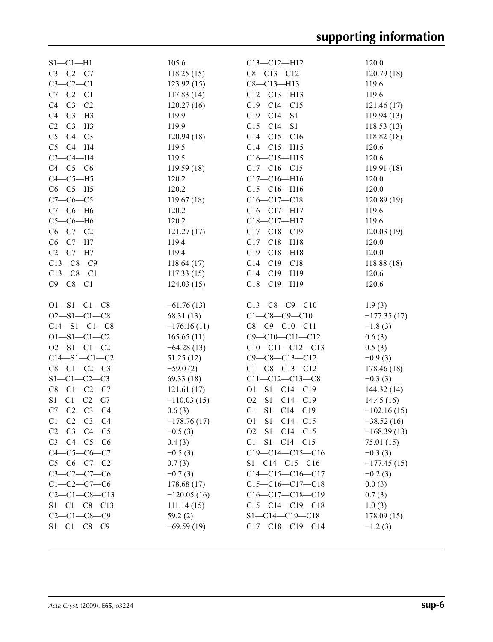| $S1 - C1 - H1$       | 105.6         | $C13 - C12 - H12$      | 120.0         |
|----------------------|---------------|------------------------|---------------|
| $C3-C2-C7$           | 118.25(15)    | $C8 - C13 - C12$       | 120.79(18)    |
| $C3-C2-C1$           | 123.92(15)    | $C8 - C13 - H13$       | 119.6         |
| $C7-C2-C1$           | 117.83(14)    | $C12-C13-H13$          | 119.6         |
| $C4-C3-C2$           | 120.27(16)    | $C19 - C14 - C15$      | 121.46(17)    |
| $C4-C3-H3$           | 119.9         | $C19 - C14 - S1$       | 119.94(13)    |
| $C2-C3-H3$           | 119.9         | $C15 - C14 - S1$       | 118.53(13)    |
| $C5-C4-C3$           | 120.94(18)    | $C14 - C15 - C16$      | 118.82(18)    |
| $C5-C4-H4$           | 119.5         | $C14 - C15 - H15$      | 120.6         |
| $C3-C4-H4$           | 119.5         | $C16-C15-H15$          | 120.6         |
| $C4-C5-C6$           | 119.59(18)    | $C17-C16-C15$          | 119.91 (18)   |
| $C4-C5-H5$           | 120.2         | $C17 - C16 - H16$      | 120.0         |
| $C6-C5-H5$           | 120.2         | $C15-C16-H16$          | 120.0         |
| $C7-C6-C5$           | 119.67(18)    | $C16-C17-C18$          | 120.89(19)    |
| $C7-C6-H6$           | 120.2         | $C16-C17-H17$          | 119.6         |
| $C5-C6-H6$           | 120.2         | C18-C17-H17            | 119.6         |
| $C6-C7-C2$           | 121.27(17)    | $C17 - C18 - C19$      | 120.03(19)    |
| $C6-C7-H7$           | 119.4         | $C17 - C18 - H18$      | 120.0         |
| $C2-C7-H7$           | 119.4         | $C19 - C18 - H18$      | 120.0         |
| $C13-C8-C9$          | 118.64(17)    | $C14 - C19 - C18$      | 118.88 (18)   |
| $C13-C8-C1$          | 117.33(15)    | $C14 - C19 - H19$      | 120.6         |
| $C9 - C8 - C1$       | 124.03(15)    | C18-C19-H19            | 120.6         |
|                      |               |                        |               |
| $O1 - S1 - C1 - C8$  | $-61.76(13)$  | $C13-C8-C9-C10$        | 1.9(3)        |
| $O2 - S1 - C1 - C8$  | 68.31 (13)    | $C1 - C8 - C9 - C10$   | $-177.35(17)$ |
|                      |               |                        |               |
| $C14 - S1 - C1 - C8$ | $-176.16(11)$ | $C8-C9-C10-C11$        | $-1.8(3)$     |
| $O1 - S1 - C1 - C2$  | 165.65(11)    | $C9 - C10 - C11 - C12$ | 0.6(3)        |
| $O2 - S1 - C1 - C2$  | $-64.28(13)$  | $C10-C11-C12-C13$      | 0.5(3)        |
| $C14 - S1 - C1 - C2$ | 51.25(12)     | $C9 - C8 - C13 - C12$  | $-0.9(3)$     |
| $C8 - C1 - C2 - C3$  | $-59.0(2)$    | $C1 - C8 - C13 - C12$  | 178.46 (18)   |
| $S1 - C1 - C2 - C3$  | 69.33 (18)    | $C11 - C12 - C13 - C8$ | $-0.3(3)$     |
| $C8-C1-C2-C7$        | 121.61(17)    | $O1 - S1 - C14 - C19$  | 144.32 (14)   |
| $S1 - C1 - C2 - C7$  | $-110.03(15)$ | $O2 - S1 - C14 - C19$  | 14.45(16)     |
| $C7 - C2 - C3 - C4$  | 0.6(3)        | $C1 - S1 - C14 - C19$  | $-102.16(15)$ |
| $C1 - C2 - C3 - C4$  | $-178.76(17)$ | $O1 - S1 - C14 - C15$  | $-38.52(16)$  |
| $C2 - C3 - C4 - C5$  | $-0.5(3)$     | $O2 - S1 - C14 - C15$  | $-168.39(13)$ |
| $C3 - C4 - C5 - C6$  | 0.4(3)        | $C1 - S1 - C14 - C15$  | 75.01 (15)    |
| $C4 - C5 - C6 - C7$  | $-0.5(3)$     | $C19-C14-C15-C16$      | $-0.3(3)$     |
| $C5-C6-C7-C2$        | 0.7(3)        | $S1 - C14 - C15 - C16$ | $-177.45(15)$ |
| $C3 - C2 - C7 - C6$  | $-0.7(3)$     | $C14-C15-C16-C17$      | $-0.2(3)$     |
| $C1 - C2 - C7 - C6$  | 178.68(17)    | $C15-C16-C17-C18$      | 0.0(3)        |
| $C2 - C1 - C8 - C13$ | $-120.05(16)$ | $C16-C17-C18-C19$      | 0.7(3)        |
| $S1 - C1 - C8 - C13$ | 111.14(15)    | $C15-C14-C19-C18$      | 1.0(3)        |
| $C2 - C1 - C8 - C9$  | 59.2(2)       | $S1 - C14 - C19 - C18$ | 178.09(15)    |
| $S1 - C1 - C8 - C9$  | $-69.59(19)$  | $C17-C18-C19-C14$      | $-1.2(3)$     |